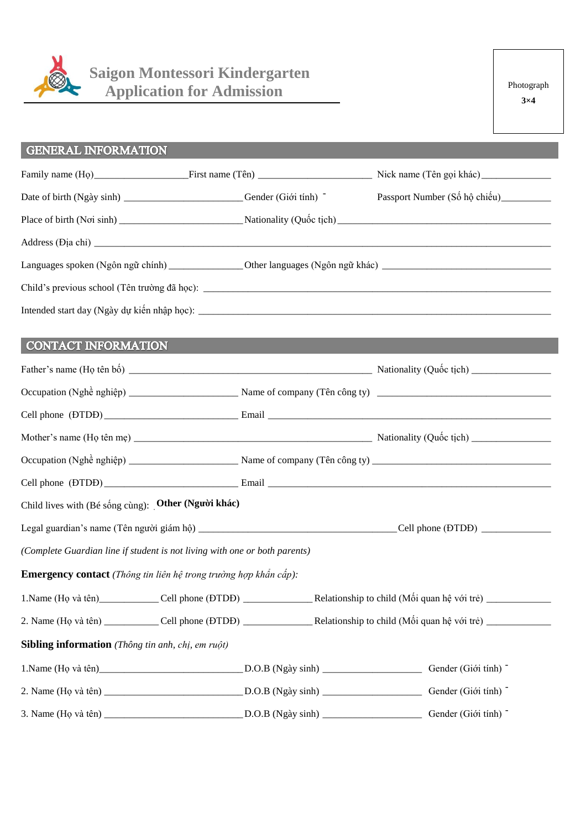

# **Saigon Montessori Kindergarten<br>Application for Admission**

## **GENERAL INFORMATION**

|                                                                         | Date of birth (Ngày sinh) ____________________________Gender (Giới tính) - |  | Passport Number (Số hộ chiếu)__________      |  |  |  |
|-------------------------------------------------------------------------|----------------------------------------------------------------------------|--|----------------------------------------------|--|--|--|
|                                                                         |                                                                            |  |                                              |  |  |  |
|                                                                         |                                                                            |  |                                              |  |  |  |
|                                                                         |                                                                            |  |                                              |  |  |  |
|                                                                         |                                                                            |  |                                              |  |  |  |
|                                                                         |                                                                            |  |                                              |  |  |  |
| <b>CONTACT INFORMATION</b>                                              |                                                                            |  |                                              |  |  |  |
|                                                                         |                                                                            |  |                                              |  |  |  |
|                                                                         |                                                                            |  |                                              |  |  |  |
|                                                                         |                                                                            |  |                                              |  |  |  |
|                                                                         |                                                                            |  |                                              |  |  |  |
|                                                                         |                                                                            |  |                                              |  |  |  |
|                                                                         |                                                                            |  |                                              |  |  |  |
| Child lives with (Bé sống cùng): Other (Người khác)                     |                                                                            |  |                                              |  |  |  |
|                                                                         |                                                                            |  |                                              |  |  |  |
|                                                                         | (Complete Guardian line if student is not living with one or both parents) |  |                                              |  |  |  |
| <b>Emergency contact</b> (Thông tin liên hệ trong trường hợp khẩn cấp): |                                                                            |  |                                              |  |  |  |
|                                                                         |                                                                            |  | _Relationship to child (Mối quan hệ với trẻ) |  |  |  |
|                                                                         |                                                                            |  |                                              |  |  |  |
| Sibling information (Thông tin anh, chị, em ruột)                       |                                                                            |  |                                              |  |  |  |
|                                                                         |                                                                            |  |                                              |  |  |  |
|                                                                         |                                                                            |  |                                              |  |  |  |
|                                                                         |                                                                            |  |                                              |  |  |  |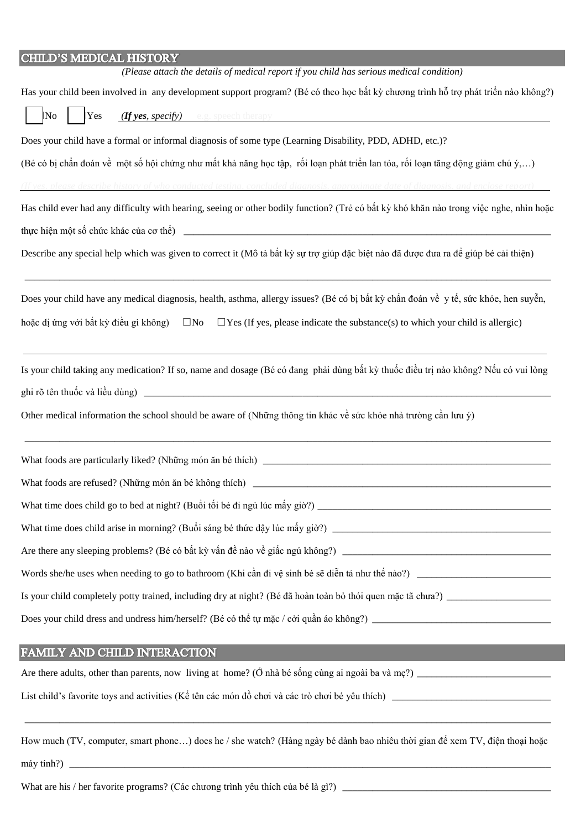| CHILD'S MEDICAL HISTORY                                                                                                                                                |
|------------------------------------------------------------------------------------------------------------------------------------------------------------------------|
| (Please attach the details of medical report if you child has serious medical condition)                                                                               |
| Has your child been involved in any development support program? (Bé có theo học bất kỳ chương trình hỗ trợ phát triển nào không?)                                     |
| (If yes, specify) e.g. speech therapy<br>No<br>Yes                                                                                                                     |
| Does your child have a formal or informal diagnosis of some type (Learning Disability, PDD, ADHD, etc.)?                                                               |
| (Bé có bị chẩn đoán về một số hội chứng như mất khả năng học tập, rối loạn phát triển lan tỏa, rối loạn tăng động giảm chú ý,)                                         |
| (If yes, please describe history of who conducted testing, concluded diagnosis, approximate date of diagnosis, and enclose report)                                     |
| Has child ever had any difficulty with hearing, seeing or other bodily function? (Trẻ có bất kỳ khó khăn nào trong việc nghe, nhìn hoặc                                |
|                                                                                                                                                                        |
| Describe any special help which was given to correct it (Mô tả bất kỳ sự trợ giúp đặc biệt nào đã được đưa ra để giúp bé cải thiện)                                    |
| Does your child have any medical diagnosis, health, asthma, allergy issues? (Bé có bị bất kỳ chẩn đoán về y tế, sức khỏe, hen suyễn,                                   |
| hoặc dị ứng với bất kỳ điều gì không)<br>$\square$ No<br>$\Box$ Yes (If yes, please indicate the substance(s) to which your child is allergic)                         |
| Is your child taking any medication? If so, name and dosage (Bé có đang phải dùng bất kỳ thuốc điều trị nào không? Nếu có vui lòng                                     |
|                                                                                                                                                                        |
| Other medical information the school should be aware of (Những thông tin khác về sức khỏe nhà trường cần lưu ý)                                                        |
|                                                                                                                                                                        |
| What foods are refused? (Những món ăn bé không thích)                                                                                                                  |
|                                                                                                                                                                        |
|                                                                                                                                                                        |
|                                                                                                                                                                        |
| Words she/he uses when needing to go to bathroom (Khi cần đi vệ sinh bé sẽ diễn tả như thế nào?)                                                                       |
| Is your child completely potty trained, including dry at night? (Bé đã hoàn toàn bỏ thói quen mặc tã chưa?)                                                            |
|                                                                                                                                                                        |
| <b>FAMILY AND CHILD INTERACTION</b><br>$\mathcal{L}^{\text{max}}_{\text{max}}$ and $\mathcal{L}^{\text{max}}_{\text{max}}$ and $\mathcal{L}^{\text{max}}_{\text{max}}$ |
|                                                                                                                                                                        |
|                                                                                                                                                                        |

How much (TV, computer, smart phone...) does he / she watch? (Hàng ngày bé dành bao nhiêu thời gian để xem TV, điện thoại hoặc

 $m$ áy tính?) \_

What are his / her favorite programs? (Các chương trình yêu thích của bé là gì?)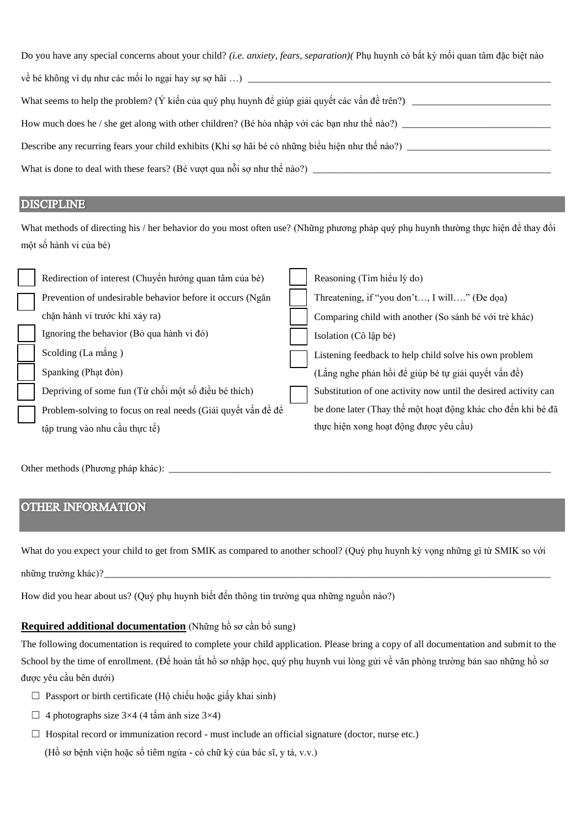| Do you have any special concerns about your child? (i.e. anxiety, fears, separation)( Phụ huynh có bất kỳ mối quan tâm đặc biệt nào |  |  |  |  |
|-------------------------------------------------------------------------------------------------------------------------------------|--|--|--|--|
|                                                                                                                                     |  |  |  |  |
| What seems to help the problem? (Ý kiến của quý phụ huynh để giúp giải quyết các vấn đề trên?) __________                           |  |  |  |  |
| How much does he / she get along with other children? (Bé hòa nhập với các bạn như thế nào?) ________                               |  |  |  |  |
| Describe any recurring fears your child exhibits (Khi sợ hãi bé có những biểu hiện như thế nào?) _____                              |  |  |  |  |
|                                                                                                                                     |  |  |  |  |

#### **DISCIPLINE**

What methods of directing his / her behavior do you most often use? (Những phương pháp quý phụ huynh thường thực hiện đề thay đổi một số hành vi của bé)

| Redirection of interest (Chuyển hướng quan tâm của bé)       |  | Reasoning (Tìm hiểu lý do)                                      |
|--------------------------------------------------------------|--|-----------------------------------------------------------------|
| Prevention of undesirable behavior before it occurs (Ngăn    |  | Threatening, if "you don't, I will" (De doa)                    |
| chặn hành vi trước khi xảy ra)                               |  | Comparing child with another (So sánh bé với trẻ khác)          |
| Ignoring the behavior (Bồ qua hành vi đó)                    |  | Isolation (Cô lập bé)                                           |
| Scolding (La mắng)                                           |  | Listening feedback to help child solve his own problem          |
| Spanking (Phạt đòn)                                          |  | (Lắng nghe phản hồi để giúp bé tự giải quyết vấn đề)            |
| Depriving of some fun (Từ chối một số điều bé thích)         |  | Substitution of one activity now until the desired activity can |
| Problem-solving to focus on real needs (Giải quyết vấn đề để |  | be done later (Thay thế một hoạt động khác cho đến khi bé đã    |
| tập trung vào nhu cầu thực tế)                               |  | thực hiện xong hoạt động được yêu cầu)                          |
|                                                              |  |                                                                 |

#### **OTHER INFORMATION**

What do you expect your child to get from SMIK as compared to another school? (Quý phụ huynh kỳ vọng những gì từ SMIK so với

How did you hear about us? (Quý phụ huynh biết đến thông tin trường qua những nguồn nào?)

### Required additional documentation (Những hồ sơ cần bổ sung)

The following documentation is required to complete your child application. Please bring a copy of all documentation and submit to the School by the time of enrollment. (Để hoàn tất hồ sơ nhập học, quý phụ huynh vui lòng gửi về văn phòng trường bản sao những hồ sơ được yêu cầu bên dưới)

- $\Box$  Passport or birth certificate (Hộ chiếu hoặc giấy khai sinh)
- $\Box$  4 photographs size 3×4 (4 tấm ảnh size 3×4)
- $\Box$  Hospital record or immunization record must include an official signature (doctor, nurse etc.)

(Hồ sơ bệnh viện hoặc sổ tiêm ngừa - có chữ ký của bác sĩ, y tá, v.v.)